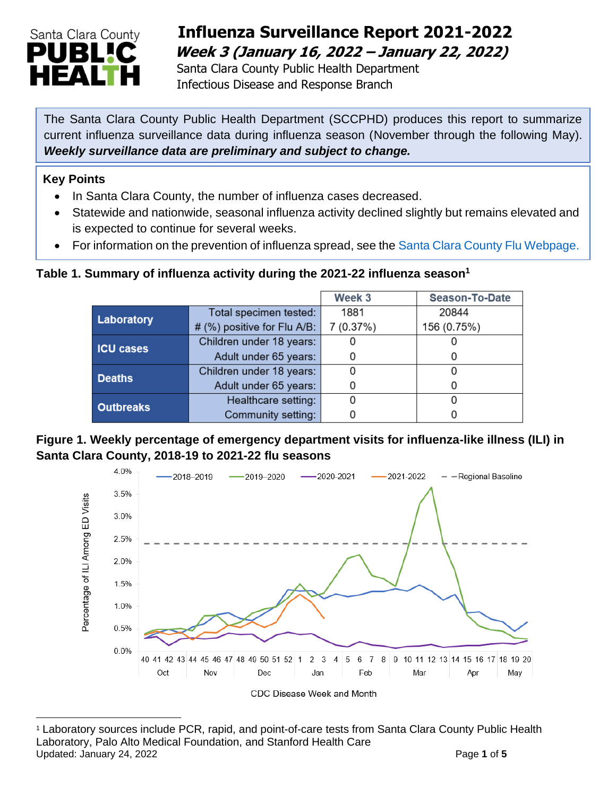

## **Influenza Surveillance Report 2021-2022 Week 3 (January 16, 2022 – January 22, 2022)**

 Santa Clara County Public Health Department Infectious Disease and Response Branch

The Santa Clara County Public Health Department (SCCPHD) produces this report to summarize current influenza surveillance data during influenza season (November through the following May). *Weekly surveillance data are preliminary and subject to change.*

#### **Key Points**

- In Santa Clara County, the number of influenza cases decreased.
- Statewide and nationwide, seasonal influenza activity declined slightly but remains elevated and is expected to continue for several weeks.
- For information on the prevention of influenza spread, see the [Santa Clara County Flu Webpage.](https://publichealth.sccgov.org/disease-information/influenza-flu)

#### **Table 1. Summary of influenza activity during the 2021-22 influenza season<sup>1</sup>**

|                  |                             | Week 3    | <b>Season-To-Date</b> |  |
|------------------|-----------------------------|-----------|-----------------------|--|
| Laboratory       | Total specimen tested:      | 1881      | 20844                 |  |
|                  | # (%) positive for Flu A/B: | 7 (0.37%) | 156 (0.75%)           |  |
| <b>ICU cases</b> | Children under 18 years:    |           |                       |  |
|                  | Adult under 65 years:       |           | C                     |  |
| <b>Deaths</b>    | Children under 18 years:    |           | O                     |  |
|                  | Adult under 65 years:       |           |                       |  |
| <b>Outbreaks</b> | Healthcare setting:         |           |                       |  |
|                  | Community setting:          |           |                       |  |

#### **Figure 1. Weekly percentage of emergency department visits for influenza-like illness (ILI) in Santa Clara County, 2018-19 to 2021-22 flu seasons**



<sup>1</sup> Laboratory sources include PCR, rapid, and point-of-care tests from Santa Clara County Public Health Laboratory, Palo Alto Medical Foundation, and Stanford Health Care Updated: January 24, 2022 **Page 1** of 5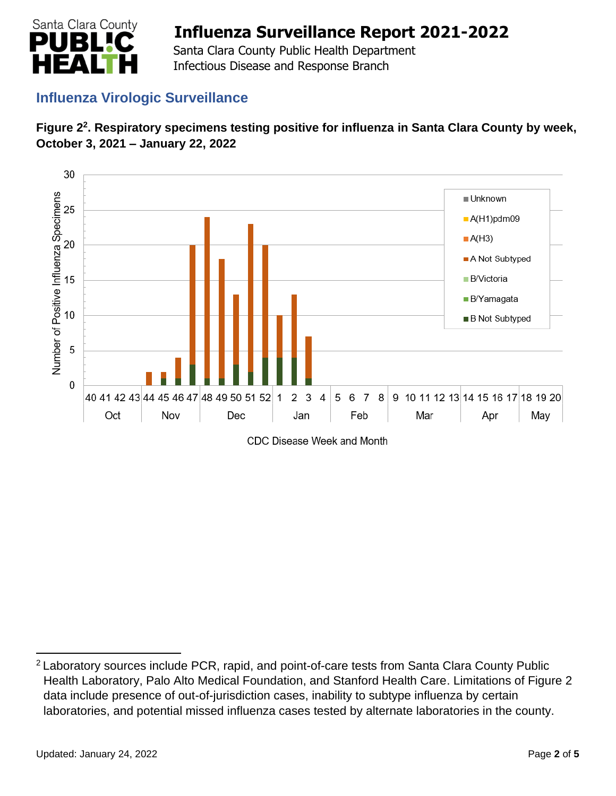

 Santa Clara County Public Health Department Infectious Disease and Response Branch

### **Influenza Virologic Surveillance**





<sup>&</sup>lt;sup>2</sup> Laboratory sources include PCR, rapid, and point-of-care tests from Santa Clara County Public Health Laboratory, Palo Alto Medical Foundation, and Stanford Health Care. Limitations of Figure 2 data include presence of out-of-jurisdiction cases, inability to subtype influenza by certain laboratories, and potential missed influenza cases tested by alternate laboratories in the county.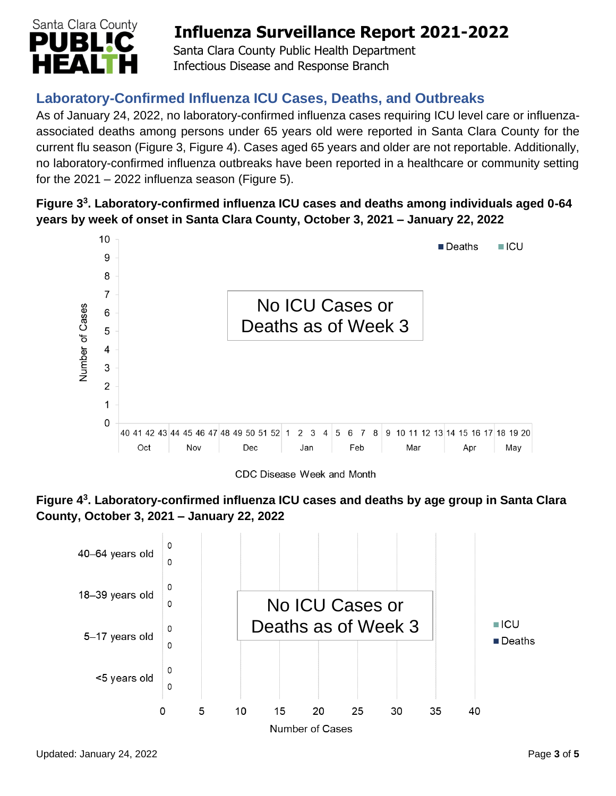

 Santa Clara County Public Health Department Infectious Disease and Response Branch

## **Laboratory-Confirmed Influenza ICU Cases, Deaths, and Outbreaks**

As of January 24, 2022, no laboratory-confirmed influenza cases requiring ICU level care or influenzaassociated deaths among persons under 65 years old were reported in Santa Clara County for the current flu season (Figure 3, Figure 4). Cases aged 65 years and older are not reportable. Additionally, no laboratory-confirmed influenza outbreaks have been reported in a healthcare or community setting for the  $2021 - 2022$  influenza season (Figure 5).

### **Figure 3 3 . Laboratory-confirmed influenza ICU cases and deaths among individuals aged 0-64 years by week of onset in Santa Clara County, October 3, 2021 – January 22, 2022**



CDC Disease Week and Month



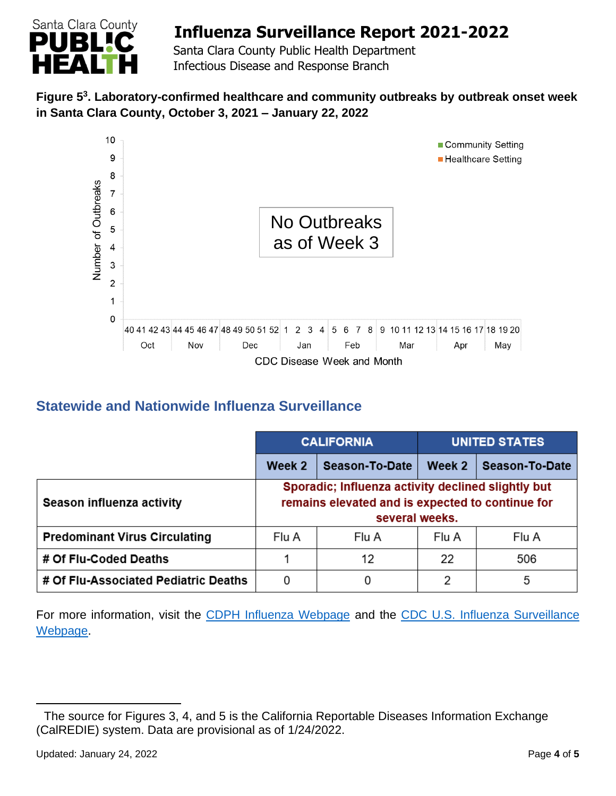

 Santa Clara County Public Health Department Infectious Disease and Response Branch

### **Figure 5 3 . Laboratory-confirmed healthcare and community outbreaks by outbreak onset week in Santa Clara County, October 3, 2021 – January 22, 2022**



## **Statewide and Nationwide Influenza Surveillance**

|                                      | <b>CALIFORNIA</b>                                                                                                        |                | UNITED STATES |                |
|--------------------------------------|--------------------------------------------------------------------------------------------------------------------------|----------------|---------------|----------------|
|                                      | Week 2                                                                                                                   | Season-To-Date | Week 2        | Season-To-Date |
| Season influenza activity            | Sporadic; Influenza activity declined slightly but<br>remains elevated and is expected to continue for<br>several weeks. |                |               |                |
| <b>Predominant Virus Circulating</b> | Flu A                                                                                                                    | Flu A          | Flu A         | Flu A          |
| # Of Flu-Coded Deaths                |                                                                                                                          | 12             | 22            | 506            |
| # Of Flu-Associated Pediatric Deaths | 0                                                                                                                        |                | 2             | 5              |

For more information, visit the [CDPH Influenza Webpage](http://www.cdph.ca.gov/Programs/CID/DCDC/Pages/Immunization/Influenza.aspx) and the [CDC U.S. Influenza Surveillance](http://www.cdc.gov/flu/weekly/)  [Webpage.](http://www.cdc.gov/flu/weekly/)

The source for Figures 3, 4, and 5 is the California Reportable Diseases Information Exchange (CalREDIE) system. Data are provisional as of 1/24/2022.